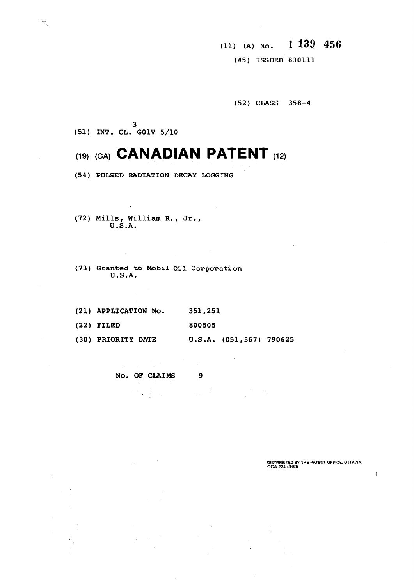**(il) (A) NO. 1 139 456** 

**(45) ISSUED 830111** 

**(52) CLASS 358-4** 

**3 (51) INT. CL. GOIV 5/10** 

# **n», (CA, CANADIAN PATENT <i2,**

**(54) PULSED RADIATION DECAY LOGGING** 

- **(72) Mills, William R., Jr., U.S.A.**
- **(73) Granted to Mobil Oil Corporation U.S.A.**
- **(21) APPLICATION No. 351,251 (22) FILED 800505**  (30) PRIORITY DATE U.S.A. (051,567) 790625

 $\sim$   $\mu$ 

**(30) PRIORITY DATE U.S.A. (051,567) 790625** 

 $\sim$   $\sim$ 

**No. OF CLAIMS 9** 

No. OF CLAIMS  $\overline{\phantom{a}}$ 

 $\Delta \sim 10^{11}$ 

 $\bar{\beta}$ 

**DISTRIBUTED BV THE PATENT OFFICE, OTTAWA. CCA-274 (3-80)** 

]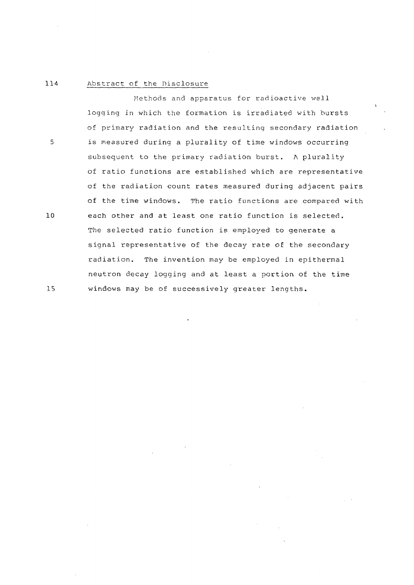#### 114 **Abstract of the Disclosure**

**Methods and apparatus for radioactive well logging in which the formation is irradiated with bursts of primary radiation and the resulting secondary radiation is measured during a plurality of time windows occurring subsequent to the primary radiation burst. A plurality of ratio functions are established which are representative of the radiation count rates measured during adjacent pairs of the time windows. The ratio functions are compared with each other and at least one ratio function is selected. The selected ratio function is employed to generate a signal representative of the decay rate of the secondary radiation. The invention may be employed in epithermal neutron decay logging and at least a portion of the time windows may be of successively greater lengths.** 

 $15$ 

 $10$ 

 $\overline{5}$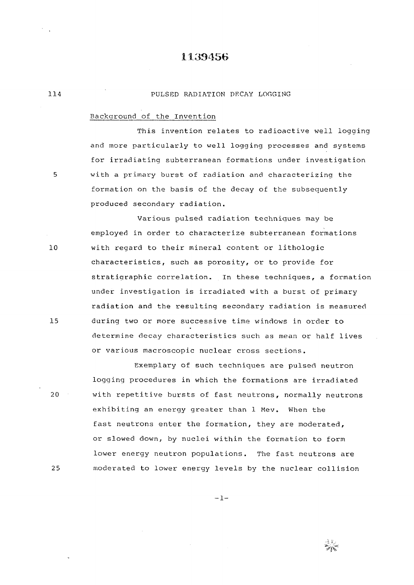#### PULSED RADIATION DECAY LOGGING

#### Background of the Invention

This invention relates to radioactive well logging and more particularly to well logging processes and systems for irradiating subterranean formations under investigation with a primary burst of radiation and characterizing the formation on the basis of the decay of the subsequently produced secondary radiation.

Various pulsed radiation techniques may be employed in order to characterize subterranean formations with regard to their mineral content or lithologie characteristics, such as porosity, or to provide for stratigraphie correlation. In these techniques, a formation under investigation is irradiated with a burst of primary radiation and the resulting secondary radiation is measured during two or more successive time windows in order to determine decay characteristics such as mean or half lives or various macroscopic nuclear cross sections.

Exemplary of such techniques are pulsed neutron logging procedures in which the formations are irradiated with repetitive bursts of fast neutrons, normally neutrons exhibiting an energy greater than 1 Mev. When the fast neutrons enter the formation, they are moderated, or slowed down, by nuclei within the formation to form lower energy neutron populations. The fast neutrons are moderated to lower energy levels by the nuclear collision

 $\overline{5}$ 

114

 $15$ 

 $10$ 

 $20 -$ 

25

**- 1 -**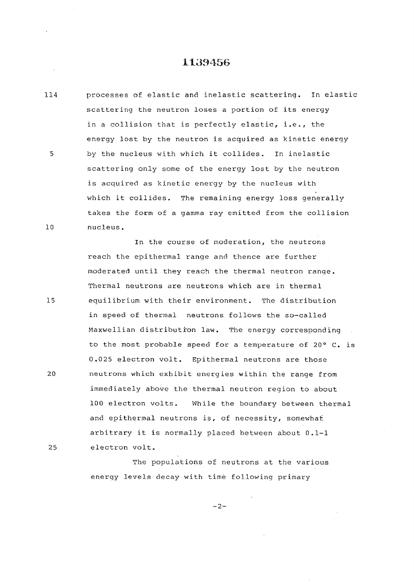#### **.**1**:**139456

114 **beta processes** of elastic and inelastic scattering. In elastic **scatterin g the neutro n lose s a portio n of its energ y**  in a collision that is perfectly elastic, i.e., the **energ y lost by the neutro n is acquire d as kineti c energ y**  5 by the nucleus with which it collides. In inelastic scattering only some of the energy lost by the neutron is acquired as kinetic energy by the nucleus with which it collides. The remaining energy loss generally takes the form of a gamma ray emitted from the collision **10 nucleus .** 

In the course of moderation, the neutrons reach the epithermal range and thence are further **moderate d unti l they reac h th e therma l neutro n range .**  Thermal neutrons are neutrons which are in thermal 15 equilibrium with their environment. The distribution in speed of thermal neutrons follows the so-called **Maxwellia n distributio n law. Th e energ y correspondin g**  to the most probable speed for a temperature of 20° C. is **0.02 5 electro n volt . Epitherma l neutron s are those 20 neutron s whic h exhibi t energie s withi n the rang e from**  immediately above the thermal neutron region to about **1 00 electro n volts . Whil e the boundar y betwee n therma l**  and epithermal neutrons is, of necessity, somewhat arbitrary it is normally placed between about  $0.1-1$ 25 electron volt.

> The populations of neutrons at the various **energ y level s deca y wit h timè followin g primar y**

> > $-2-$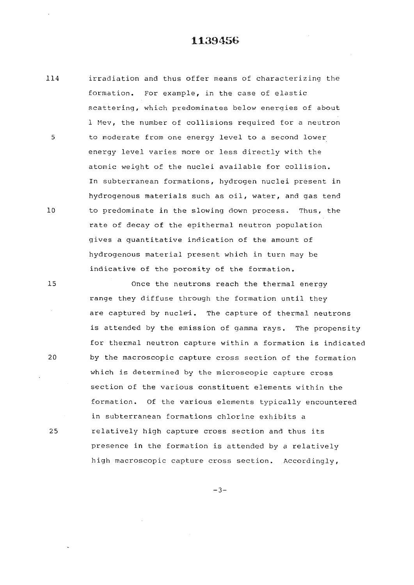### **.1:139456**

114 irradiation and thus offer means of characterizing the formation. For example, in the case of elastic **scattering , whic h predominate s belo w energie s of about 1 Mev, the number of collisions required for a neutron** 5 to moderate from one energy level to a second lower **energ y level varie s mor e or les s directl y wit h the atomi c weigh t of the nucle i availabl e for collision .**  In subterranean formations, hydrogen nuclei present in **hydrogenou s material s such as oil , water , and ga s tend**   $10$ **to predominat e in the slowin g dow n process . Thus , the**  rate of decay of the epithermal neutron population **give s a quantitativ e indicatio n of the amoun t of hydrogenou s materia l presen t whic h in turn may be**  indicative of the porosity of the formation.

15

 $20<sub>2</sub>$ 

25

Once the neutrons reach the thermal energy range they diffuse through the formation until they **a r e capture d by nuclei . The captur e of therma l neutron s**  is attended by the emission of gamma rays. The propensity **f or therma l neutro n captur e withi n** *a* **formatio n is indicate d by the macroscopi c captur e cros s sectio n of the formatio n whic h is determine d by the microscopi c captur e cros s sectio n of the variou s constituen t element s withi n the**  formation. Of the various elements typically encountered **in subterranea n formation s chlorin e exhibit s a relativel y hig h captur e cros s sectio n and thus its**  presence in the formation is attended by a relatively **hig h macroscopi c captur e cros s section . Accordingly ,** 

 $-3-$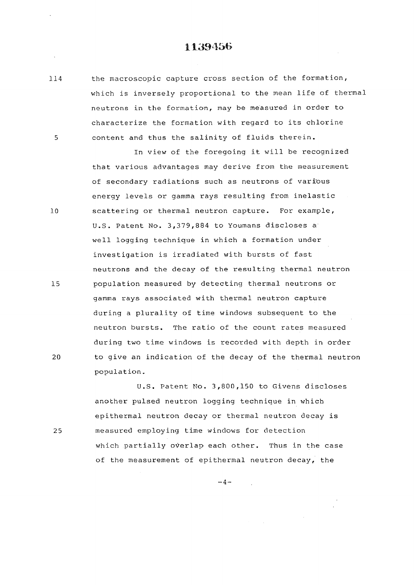$114$ the macroscopic capture cross section of the formation, which is inversely proportional to the mean life of thermal neutrons in the formation, may be measured in order to characterize the formation with regard to its chlorine content and thus the salinity of fluids therein. 5

In view of the foregoing it will be recognized that various advantages may derive from the measurement of secondary radiations such as neutrons of various energy levels or gamma rays resulting from inelastic scattering or thermal neutron capture. For example, U.S. Patent No. 3,379,884 to Youmans discloses a well logging technique in which a formation under investigation is irradiated with bursts of fast neutrons and the decay of the resulting thermal neutron population measured by detecting thermal neutrons or gamma rays associated with thermal neutron capture during a plurality of time windows subsequent to the neutron bursts. The ratio of the count rates measured during two time windows is recorded with depth in order 20 to give an indication of the decay of the thermal neutron population.

10

15

25

U.S. Patent No. 3,800,150 to Givens discloses another pulsed neutron logging technique in which epithermal neutron decay or thermal neutron decay is measured employing time windows for detection which partially overlap each other. Thus in the case of the measurement of epithermal neutron decay, the

 $-4-$ 

 $\sim$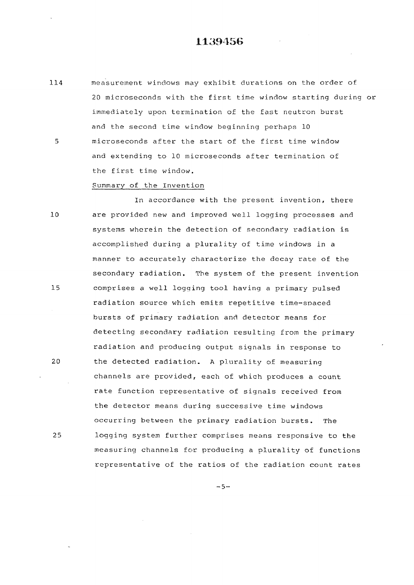114 measurement windows may exhibit durations on the order of 20 microseconds with the first time window starting during or immediately upon termination of the fast neutron burst and the second time window beginning perhaps 10 5 microseconds after the start of the first time window and extending to 10 microseconds after termination of the first time window.

#### Summary of the Invention

In accordance with the present invention, there 10 are provided new and improved well logging processes and systems wherein the detection of secondary radiation is accomplished during a plurality of time windows in a manner to accurately characterize the decay rate of the secondary radiation. The system of the present invention 15 comprises a well logging tool having a primary pulsed radiation source which emits repetitive time-spaced bursts of primary radiation and detector means for detecting secondary radiation resulting from the primary radiation and producing output signals in response to 20 the detected radiation. A plurality of measuring channels are provided, each of which produces a count rate function representative of signals received from the detector means during successive time windows occurring between the primary radiation bursts. The 25 logging system further comprises means responsive to the measuring channels for producing a plurality of functions representative of the ratios of the radiation count rates

 $-5-$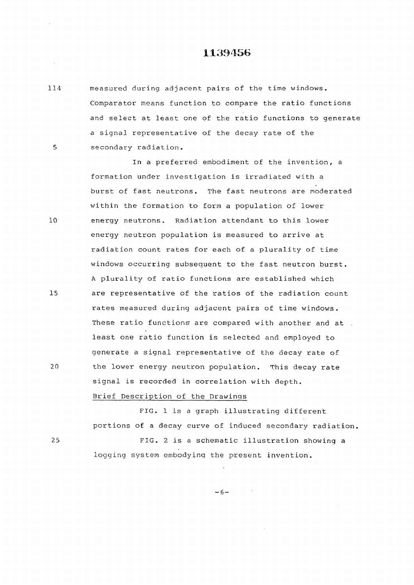114 measured during adjacent pairs of the time windows. Comparator means function to compare the ratio functions and select at least one of the ratio functions to generate a signal representative of the decay rate of the 5 secondary radiation.

In a preferred embodiment of the invention, a formation under investigation is irradiated with a burst of fast neutrons. The fast neutrons are moderated within the formation to form a population of lower 10 energy neutrons. Radiation attendant to this lower energy neutron population is measured to arrive at radiation count rates for each of a plurality of time windows occurring subsequent to the fast neutron burst. A plurality of ratio functions are established which

15 are representative of the ratios of the radiation count rates measured during adjacent pairs of time windows. These ratio functions are compared with another and at. least one ratio function is selected and employed to generate a signal representative of the decay rate of 20 the lower energy neutron population. This decay rate signal is recorded in correlation with depth.

#### Brief Description of the Drawings

FIG. 1 is a graph illustrating different portions of a decay curve of induced secondary radiation.

25 FIG. 2 is a schematic illustration showing a logging system embodying the present invention.

**- 6 -**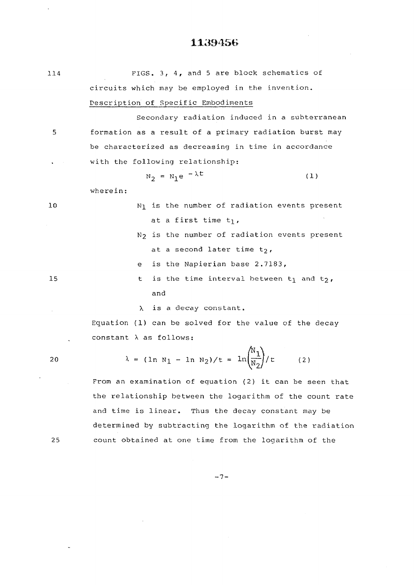## **.**1**:**139456

 $\sim$ 

 $\sim$ 

| 114 | FIGS. 3, 4, and 5 are block schematics of                                     |
|-----|-------------------------------------------------------------------------------|
|     | circuits which may be employed in the invention.                              |
|     | Description of Specific Embodiments                                           |
|     | Secondary radiation induced in a subterranean                                 |
| 5   | formation as a result of a primary radiation burst may                        |
|     | be characterized as decreasing in time in accordance                          |
|     | with the following relationship:                                              |
|     | $N_2 = N_1 e^{-\lambda t}$<br>(1)                                             |
|     | wherein:                                                                      |
| 10  | $N_1$ is the number of radiation events present                               |
|     | at a first time t1,                                                           |
|     | N <sub>2</sub> is the number of radiation events present                      |
|     | at a second later time t <sub>2</sub> ,                                       |
|     | is the Napierian base 2.7183,<br>e                                            |
| 15  | is the time interval between $t_1$ and $t_2$ ,<br>t                           |
|     | and                                                                           |
|     | is a decay constant.<br>λ                                                     |
|     | Equation (1) can be solved for the value of the decay                         |
|     | constant $\lambda$ as follows:                                                |
| 20  | $\lambda = (\ln N_1 - \ln N_2)/t = \ln \left(\frac{N_1}{N_2}\right)/t$<br>(2) |
|     | From an examination of equation (2) it can be seen that                       |
|     | the relationship between the logarithm of the count rate                      |
|     | and time is linear.<br>Thus the decay constant may be                         |
|     | determined by subtracting the logarithm of the radiation                      |

count obtained at one time from the logarithm of the

 $\sim$ 

 $\cdot$ 

 $-7-$ 

 $\sim$   $\alpha$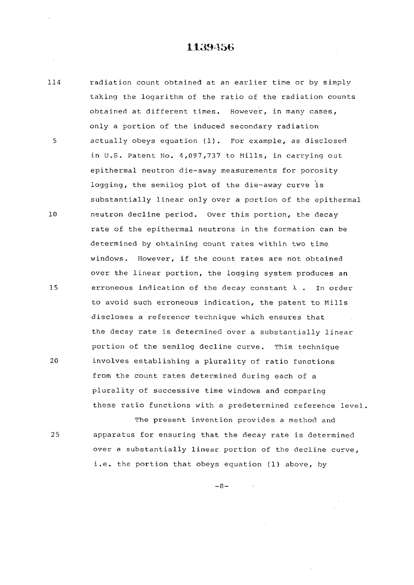114

 $\sim$ 

radiation count obtained at an earlier time or by simply taking the logarithm of the ratio of the radiation counts obtained at different times. However, in many cases, only a portion of the induced secondary radiation 5 actually obeys equation (1). For example, as disclosed in U.S. Patent No. 4,097,737 to Mills, in carrying out epithermal neutron die-away measurements for porosity logging, the semilog plot of the die-away curve is substantially linear only over a portion of the epithermal  $10$ neutron decline period. Over this portion, the decay rate of the epithermal neutrons in the formation can be determined by obtaining count rates within two time windows. However, if the count rates are not obtained over the linear portion, the logging system produces an 1.5 erroneous indication of the decay constant  $\lambda$  . In order to avoid such erroneous indication, the patent to Mills discloses a reference technique which ensures that the decay rate is determined over a substantially linear portion of the semilog decline curve. This technique 20 involves establishing a plurality of ratio functions from the count rates determined during each of a plurality of successive time windows and comparing these ratio functions with a predetermined reference level. The present invention provides a method and

25 apparatus for ensuring that the decay rate is determined over a substantially linear portion of the decline curve, i.e. the portion that obeys equation (1) above, by

 $-8-$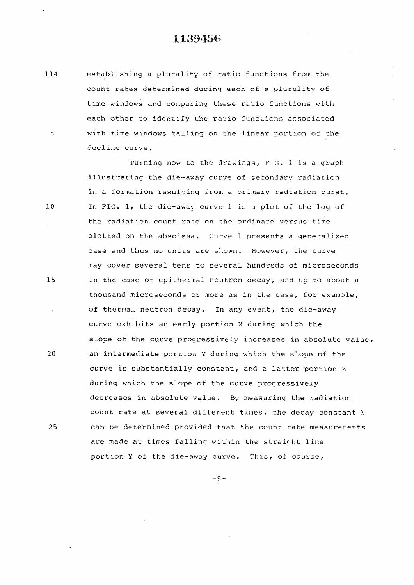**establishing a plurality of ratio functions from the**  114 **count rates determined during each of a plurality of time windows and comparing these ratio functions with each other to identify the ratio functions associated**  5 **with time windows falling on the linear portion of the decline curve.** 

 $10$ 

15

 $20$ 

25

**Turning now to the drawings, FIG. 1 is a graph illustrating the die-away curve of secondary radiation in a formation resulting from a primary radiation burst. In FIG. 1, the die-away curve 1 is a plot of the log of the radiation count rate on the ordinate versus time plotted on the abscissa. Curve 1 presents a generalized case and thus no units are shown. However, the curve may cover several tens to several hundreds of microseconds in the case of epithermal neutron decay, and up to about a thousand microseconds or more as in the case, for example,**  of thermal neutron decay. In any event, the die-away **curve exhibits an early portion X during which the slope of the curve progressively increases in absolute value, an intermediate portion Y during which the slope of the curve is substantially constant, and a latter portion Z during which the slope of the curve progressively decreases in absolute value. By measuring the radiation**  count rate at several different times, the decay constant  $\lambda$ **can be determined provided that the count rate measurements are made at times falling within the straight line portion Y of the die-away curve. This, of course,** 

 $-9-$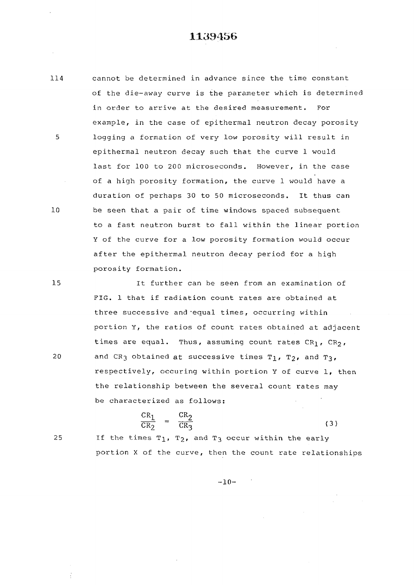114 cannot be determined in advance since the time constant of the die-away curve is the parameter which is determined in order to arrive at the desired measurement. For example, in the case of epithermal neutron decay porosity 5 logging a formation of very low porosity will result in epithermal neutron decay such that the curve 1 would last for 100 to 200 microseconds. However, in the case of a high porosity formation, the curve 1 would have a duration of perhaps 30 to 50 microseconds. It thus can 10 be seen that a pair of time windows spaced subsequent to a fast neutron burst to fall within the linear portion Y of the curve for a low porosity formation would occur after the epithermal neutron decay period for a high porosity formation.

> It further can be seen from an examination of FIG. 1 that if radiation count rates are obtained at three successive and'equal times, occurring within portion Y, the ratios of count rates obtained at adjacent times are equal. Thus, assuming count rates  $CR_1$ ,  $CR_2$ , and CR3 obtained at successive times  $T_1$ ,  $T_2$ , and  $T_3$ , respectively, occuring within portion Y of curve 1, then the relationship between the several count rates may be characterized as follows:

$$
\frac{CR_1}{CR_2} = \frac{CR_2}{CR_3} \tag{3}
$$

25

 $15$ 

 $20$ 

If the times  $T_1$ ,  $T_2$ , and  $T_3$  occur within the early portion X of the curve, then the count rate relationships

 $-10-$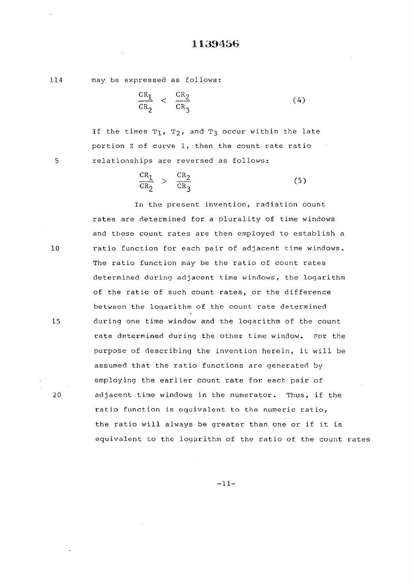| 114 |  | may be expressed as follows: |  |
|-----|--|------------------------------|--|
|     |  |                              |  |

$$
\frac{CR_1}{CR_2} < \frac{CR_2}{CR_3} \tag{4}
$$

If the times  $T_1$ ,  $T_2$ , and  $T_3$  occur within the late portion Z of curve 1, then the count rate ratio 5 relationships are reversed as follows:

$$
\frac{\text{CR}_1}{\text{CR}_2} > \frac{\text{CR}_2}{\text{CR}_3} \tag{5}
$$

In the present invention, radiation count rates are determined for a plurality of time windows and these count rates are then employed to establish a 10 ratio function for each pair of adjacent time windows. The ratio function may be the ratio of count rates determined during adjacent time windows, the logarithm of the ratio of such count rates, or the difference between the logarithm of the count rate determined 15 during one time window and the logarithm of the count rate determined during the other time window. For the purpose of describing the invention herein, it will be assumed that the ratio functions are generated by employing the earlier count rate for each pair of 20 adjacent time windows in the numerator. Thus, if the ratio function is equivalent to the numeric ratio, the ratio will always be greater than one or if it is equivalent to the logarithm of the ratio of the count rates

**-11 -**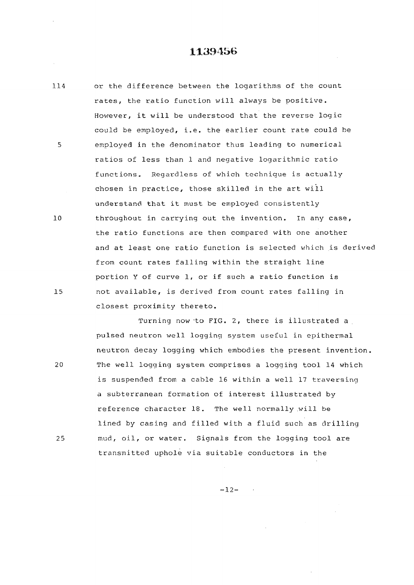#### **.1:139456**

114 or the difference between the logarithms of the count rates, the ratio function will always be positive. However, it will be understood that the reverse logic could be employed, i.e. the earlier count rate could be  $\overline{5}$ employed in the denominator thus leading to numerical ratios of less than 1 and negative logarithmic ratio functions. Regardless of which technique is actually chosen in practice, those skilled in the art will understand that it must be employed consistently  $10$ throughout in carrying out the invention. In any case, the ratio functions are then compared with one another and at least one ratio function is selected which is derived from count rates falling within the straight line portion Y of curve 1, or if such a ratio function is  $15$ not available, is derived from count rates falling in closest proximity thereto.

Turning now 'to FIG. 2, there is illustrated a pulsed neutron well logging system useful in epithermal neutron decay logging which embodies the present invention. The well logging system comprises a logging tool 14 which is suspended from a cable 16 within a well 17 traversing a subterranean formation of interest illustrated by reference character 18. The well normally will be lined by casing and filled with a fluid such as drilling mud, oil, or water. Signals from the logging tool are transmitted uphole via suitable conductors in the

 $20$ 

25

 $-12-$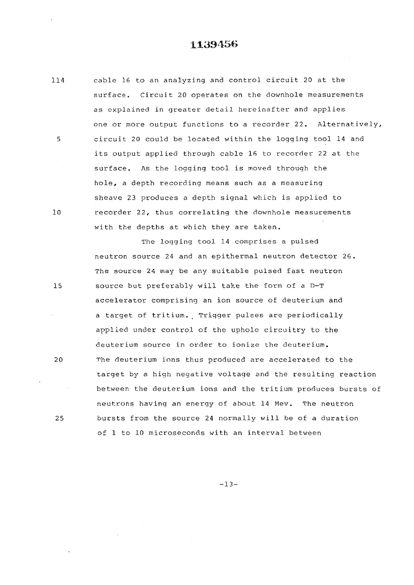#### **.**1**:**139456

114 cable 16 to an analyzing and control circuit 20 at the surface. Circuit 20 operates on the downhole measurements as explained in greater detail hereinafter and applies one or more output functions to a recorder 22. Alternatively,  $5^{\circ}$ circuit 20 could be located within the logging tool 14 and its output applied through cable 16 to recorder 22 at the surface. As the logging tool is moved through the hole, a depth recording means such as a measuring sheave 23 produces a depth signal which is applied to  $10$ recorder 22, thus correlating the downhole measurements with the depths at which they are taken.

 $15$ 

 $20<sup>°</sup>$ 

25

The logging tool 14 comprises a pulsed neutron source 24 and an epithermal neutron detector 26. The source 24 may be any suitable pulsed fast neutron source but preferably will take the form of a D-T accelerator comprising an ion source of deuterium and a target of tritium. Trigger pulses are periodically applied under control of the uphole circuitry to the deuterium source in order to ionize the deuterium. The deuterium ions thus produced are accelerated to the target by a high negative voltage and the resulting reaction between the deuterium ions and the tritium produces bursts of neutrons having an energy of about 14 Mev. The neutron bursts from the source 24 normally will be of a duration of 1 to 10 microseconds with an interval between

 $-13-$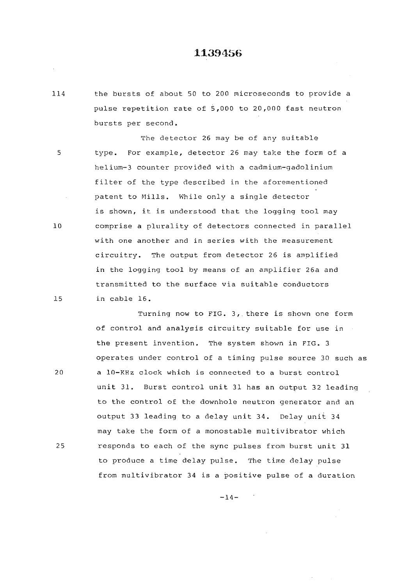114 the bursts of about 50 to 200 microseconds to provide a pulse repetition rate of 5,000 to 20,000 fast neutron bursts per second.

The detector 26 may be of any suitable 5 type. For example, detector 26 may take the form of a helium~3 counter provided with a cadmium-gadolinium filter of the type described in the aforementioned patent to Mills. While only a single detector is shown, it is understood that the logging tool may 10 comprise a plurality of detectors connected in parallel with one another and in series with the measurement circuitry. The output from detector 26 is amplified in the logging tool by means of an amplifier 26a and transmitted to the surface via suitable conductors 15 in cable 16.

Turning now to FIG. 3,. there is shown one form of control and analysis circuitry suitable for use in the present invention. The system shown in FIG. 3 operates under control of a timing pulse source 30 such as 20 a 10-KHz clock which is connected to a burst control unit 31. Burst control unit 31 has an output 32 leading to the control of the downhole neutron generator and an output 33 leading to a delay unit 34. Delay unit 34 may take the form of a monostable multivibrator which 25 responds to each of the sync pulses from burst unit 31 to produce a time delay pulse. The time delay pulse from multivibrator 34 is a positive pulse of a duration

-14-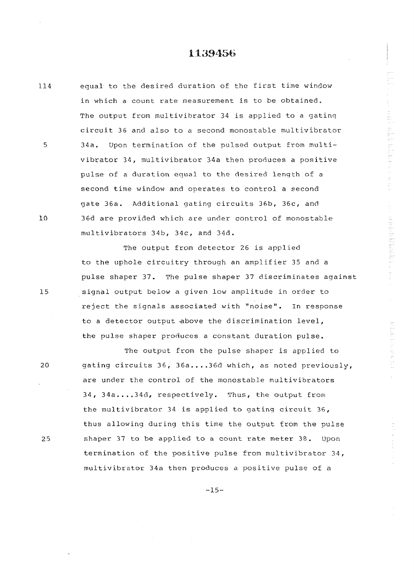### **.1:139456**

1. 大家的 医皮肤细胞的 化生物

不在地的 计加工机 机加工

**equal' to the desired duration of the first time window**  114 **in which a count rate measurement is to be obtained. The output from multivibrator 34 is applied to a gatinq circuit 36 and also to a second monostable multivibrator**  5 **34a. Upon termination of the pulsed output from multivibrator 34, multivibrator 34a then produces a positive pulse of a duration equal to the desired length of a second time window and operates to control a second gate 36a. Additional gating circuits 36b, 36c, and**   $10$ **36d are provided which are under control of monostable multivibrators 34b, 34c, and 34d.** 

 $15$ 

20

25

**The output from detector 26 is applied to the uphole circuitry through an amplifier 35 and a pulse shaper .37. The pulse shaper 37 discriminates against signal output below a given low amplitude in order to reject the signals associated with "noise". In response**  to a detector output above the discrimination level, **the pulse shaper produces a constant duration pulse.** 

**The output from the pulse shaper is applied to gating circuits 36 , 36a....36d which, as noted previously, are under the control of the monostable multivibrators 34, 34a....34d, respectively. Thus, the output from the multivibrator 34 is applied to gating circuit 36, thus allowing during this time the output from the pulse shaper 37 to be applied to a count rate meter 38. Upon termination of the positive pulse from multivibrator 34, multivibrator 34a then produces a positive pulse of a** 

 $-15-$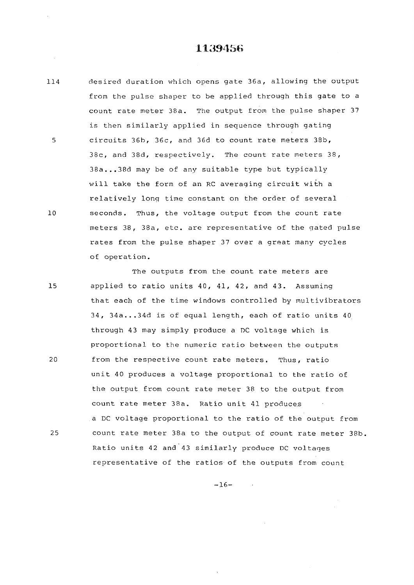114 desired duration which opens gate 36a, allowing the output from the pulse shaper to be applied through this gate to a count rate meter 38a. The output from the pulse shaper 37 is then similarly applied in sequence through gating 5 circuits 36b, 36c, and 36d to count rate meters 38b, 38c, and 38d, respectively. The count rate meters 38, 38a... 38d may be of any suitable type but typically will take the form of an RC averaging circuit with a relatively long time constant on the order of several 10 seconds. Thus, the voltage output from the count rate meters 38, 38a, etc. are representative of the gated pulse rates from the pulse shaper 37 over a great many cycles of operation.

The outputs from the count rate meters are 15 applied to ratio units 40, 41, 42, and 43. Assuming that each of the time windows controlled by multivibrators 34, 34a...34d is of equal length, each of ratio units 40 through 43 may simply produce a DC voltage which is proportional to the numeric ratio between the outputs 20 from the respective count rate meters. Thus, ratio unit 40 produces a voltage proportional to the ratio of the output from count rate meter 38 to the output from count rate meter 38a. Ratio unit 41 produces a DC voltage proportional to the ratio of the output from 25 count rate meter 38a to the output of count rate meter 38b. Ratio units 42 and 43 similarly produce DC voltages representative of the ratios of the outputs from count

 $-16-$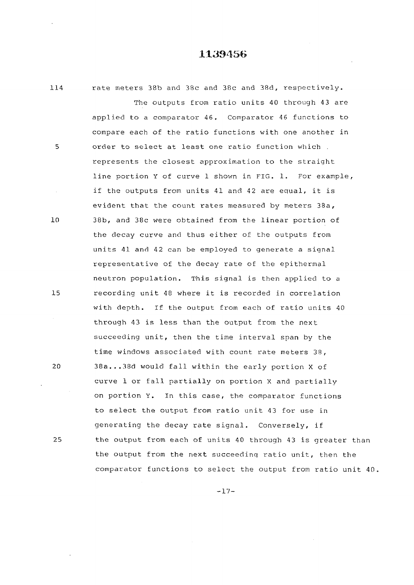**114 rate meters 38b and 38c and 38c and 38d, respectively. The outputs from ratio units 40 through 43 are applied to a comparator 46. Comparator 46 functions to compare each of the ratio functions with one another in 5 order to select at least one ratio function which represents the closest approximation to the straight line portion Y of curve 1 shown in FIG. 1. For example, if the outputs from units 41 and 42 are equal, it is evident that the count rates measured by meters 38a, 10 38b, and 38c were obtained from the linear portion of the decay curve and thus either of the outputs from units 41 and 42 can be employed to generate a signal representative of the decay rate of the epithermal neutron population. This signal is then applied to a 15 recording unit 48 where it is recorded in correlation with depth. If the output from each of ratio units 40 through 43 is less than the output from the next succeeding unit, then the time interval span by the time windows associated with count rate meters 38, 20 38a...38d would fall within the early portion X of curve 1 or fall partially on portion X and partially on portion Y. In this case, the comparator functions to select the output from ratio unit 43 for use in generating the decay rate signal. Conversely, if 25 the output from each of units 40 through 43 is greater than the output from the next succeeding ratio unit, then the comparator functions to select the output from ratio unit 40.** 

**-17 -**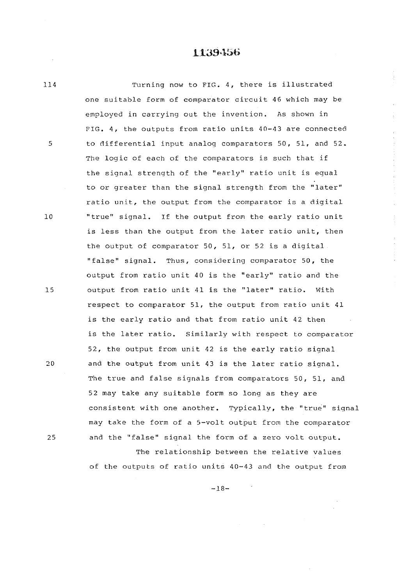Turning now to FIG. 4, there is illustrated 114 one suitable form of comparator circuit 46 which may be employed in carrying out the invention. As shown in FIG. 4, the outputs from ratio units 40-43 are connected 5 to differential input analog comparators 50, 51, and 52. The logic of each of the comparators is such that if the signal strength of the "early" ratio unit is equal to or greater than the signal strength from the "later" ratio unit, the output from the comparator is a digital  $10$ "true" signal. If the output from the early ratio unit is less than the output from the later ratio unit, then the output of comparator 50, 51, or 52 is a digital "false" signal. Thus, considering comparator 50, the output from ratio unit 40 is the "early" ratio and the output from ratio unit 41 is the "later" ratio. With 15 respect to comparator 51, the output from ratio unit 41 is the early ratio and that from ratio unit 42 then is the later ratio. Similarly with respect to comparator 52, the output from unit 42 is the early ratio signal and the output from unit 43 is the later ratio signal. The true and false signals from comparators 50, 51, and 52 may take any suitable form so long as they are consistent with one another. Typically, the "true" signal may take the form of a 5-volt output from the comparator and the "false" signal the form of a zero volt output.

The relationship between the relative values of the outputs of ratio units 40-43 and the output from

 $-18-$ 

 $20$ 

25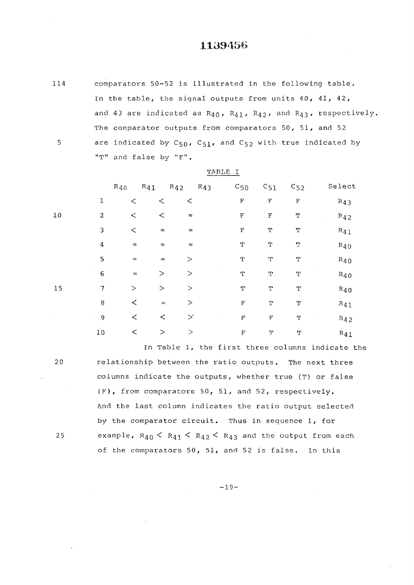114

5

 $10$ 

comparators 50-52 is illustrated in the following table. In the table, the signal outputs from units 40, 41, 42, and 43 are indicated as  $R_{40}$ ,  $R_{41}$ ,  $R_{42}$ , and  $R_{43}$ , respectively. The comparator outputs from comparators 50, 51, and 52 are indicated by  $C_{50}$ ,  $C_{51}$ , and  $C_{52}$  with true indicated by "T" and false by "F".

|                  | $R_{40}$ | $R_{41}$  | $R_{42}$          | $R_{43}$ | $c_{50}$           | $c_{51}$                  | $c_{52}$    | Select                                  |
|------------------|----------|-----------|-------------------|----------|--------------------|---------------------------|-------------|-----------------------------------------|
| $\mathbf 1$      | $\lt$    | $\,<$     | $\,<$             |          | $\rm F$            | $\mathbf F$               | $\rm F$     | $R_{43}$                                |
| $\boldsymbol{2}$ | $\,<$    | $\,<$     | $\qquad \qquad =$ |          | $\mathbf F$        | F                         | T           | $R_{42}$<br>$\mathcal{L}_{\mathrm{in}}$ |
| 3                | $\,<\,$  | $\equiv$  | $\equiv$          |          | $\rm F$            | $\mathbf T$               | $\mathbf T$ | $R_{41}$                                |
| $\bf 4$          | $\equiv$ | $=$       | $\equiv$          |          | $\mathbf T$        | $\mathbf T$               | T           | $R_{40}$                                |
| 5                | $\!=$    | $=$       | $\geq$            |          | $\mathbf T$        | Т                         | Т           | $R_{40}$                                |
| $\epsilon$       | $\equiv$ | $\, > \,$ | $\geq$            |          | T                  | Т                         | T           | $R_{40}$                                |
| 7                | $\geq$   | $\geq$    | $\geq$            |          | T                  | $\mathbb T$               | Τ           | $R_{40}$                                |
| $\bf 8$          | $\,<$    | $\equiv$  | $\rm{>}$          |          | $\mathbf F$        | Τ                         | T           | $R_{41}$                                |
| 9                | $\,<\,$  | $\,<$     | $\mathbf{r}$      |          | $\mathbf{F}% _{0}$ | $\boldsymbol{\mathrm{F}}$ | $\mathbf T$ | $R_{42}$                                |
| 10               | $\,<$    | $\geq$    | $\, > \,$         |          | $\mathbf{F}$       | T                         | T           | $R_{41}$                                |

TABLE I

 $20$ 

25

 $15$ 

In Table I, the first three columns indicate the relationship between the ratio outputs. The next three columns indicate the outputs, whether true (T) or false (F), from comparators 50, 51, and 52, respectively. And the last column indicates the ratio output selected by the comparator circuit. Thus in sequence 1, for example,  $R_{40}$  <  $R_{41}$  <  $R_{42}$  <  $R_{43}$  and the output from each of the comparators 50, 51, and 52 is false. In this

**-19 -**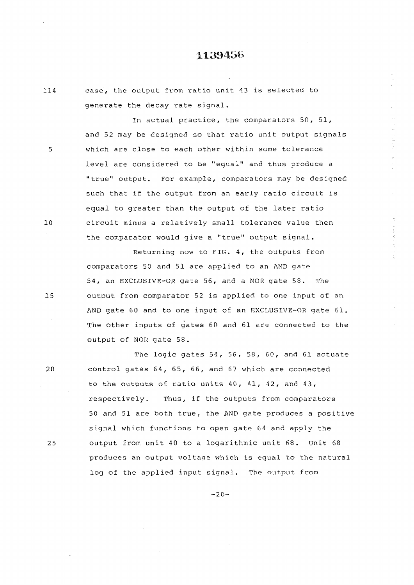distribution of the con-

114 case', the output from ratio unit 43 is selected to generate the decay rate signal.

In actual practice, the comparators 50, 51, and 52 may be designed so that ratio unit output signals which are close to each other within some tolerance: level are considered to be "equal" and thus produce a "true" output. For example, comparators may be designed such that if the output from an early ratio circuit is equal to greater than the output of the later ratio circuit minus a relatively small tolerance value then the comparator would give a "true" output signal.

Returning now to FIG. 4, the outputs from comparators 50 and 51 are applied to an AND gate 54, an EXCLUSIVE-OR gate 56, and a NOR gate 58. The output from comparator 52 is applied to one input of an AND gate 60 and to one input of an EXCLUSIVE-OR qate 61. The other inputs of gates 60 and 61 are connected to the output of NOR gate 58.

The logic gates 54, 56, 58, 60, and 61 actuate control gates 64, 65, 66, and 67 which are connected to the outputs of ratio units 40, 41, 42, and 43, respectively. Thus, if the outputs from comparators 50 and 51 are both true, the AND gate produces a positive signal which functions to open gate 64 and apply the output from unit 40 to a logarithmic unit 68. Unit 68 produces an output voltage which is equal to the natural log of the applied input signal. The output from

 $-20-$ 

 $10$ 

5

 $15$ 

 $20$ 

25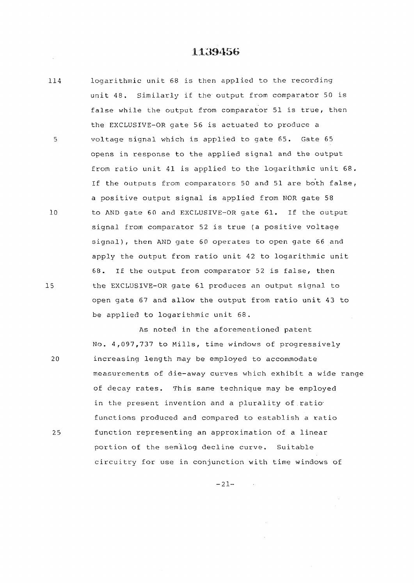#### 113945b

114 logarithmic unit 68 is then applied to the recording unit 48. Similarly if the output from comparator 50 is false while the output from comparator 51 is true, then the EXCLUSIVE-OR gate 56 is actuated to produce a 5 voltage signal which is applied to gate 65. Gate 65 opens in response to the applied signal and the output from ratio unit 41 is applied to the logarithmic unit 68. If the outputs from comparators 50 and 51 are both false, a positive output signal is applied from NOR gate 58 10 to AND gate 60 and EXCLUSIVE-OR gate 61. If the output signal from comparator 52 is true (a positive voltage signal), then AND gate 60 operates to open gate 66 and apply the output from ratio unit 42 to logarithmic unit 68. If the output from comparator 52 is false, then 15 the EXCLUSIVE-OR gate 61 produces an output signal to open gate 67 and allow the output from ratio unit 43 to be applied to logarithmic unit 68.

As noted in the aforementioned patent No. 4,097,737 to Mills, time windows of progressively 20 increasing length may be employed to accommodate measurements of die-away curves which exhibit a wide range of decay rates. This same technique may be employed in the present invention and a plurality of ratio functions produced and compared to establish a ratio 25 function representing an approximation of a linear portion of the semilog decline curve. Suitable circuitry for use in conjunction with time windows of

**-21 -**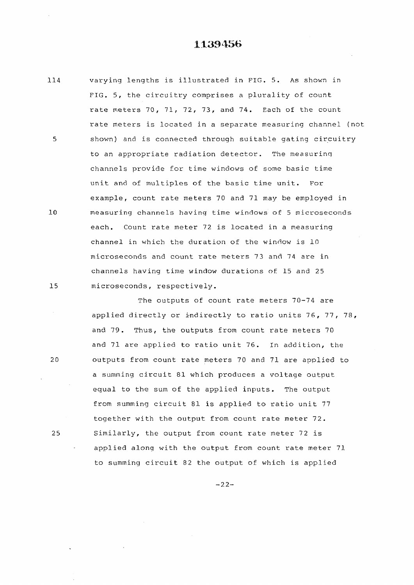#### **.**1**:**139456

114 varying lengths is illustrated in FIG. 5. As shown in FIG. 5, the circuitry comprises a plurality of count rate meters 70, 71, 72, 73, and 74. Each of the count rate meters is located in a separate measuring channel (not 5 shown) and is connected through suitable gating circuitry to an appropriate radiation detector. The measuring channels provide for time windows of some basic time unit and of multiples of the basic time unit. For example, count rate meters 70 and 71 may be employed in 10 measuring channels having time windows of 5 microseconds each. Count rate meter 72 is located in a measuring channel in which the duration of the window is 10 microseconds and count rate meters 73 and 74 are in channels having time window durations of 15 and 25 15 microseconds, respectively.

The outputs of count rate meters 70-74 are applied directly or indirectly to ratio units 76, 77, 78, and 79. Thus, the outputs from count rate meters 70 and 71 are applied to ratio unit 76. In addition, the 20 outputs from count rate meters 70 and 71 are applied to a summing circuit 81 which produces a voltage output equal to the sum of the applied inputs. The output from summing circuit 81 is applied to ratio unit 77 together with the output from count rate meter 72. 25 Similarly, the output from count rate meter 72 is applied along with the output from count rate meter 71 to summing circuit 82 the output of which is applied

 $-22-$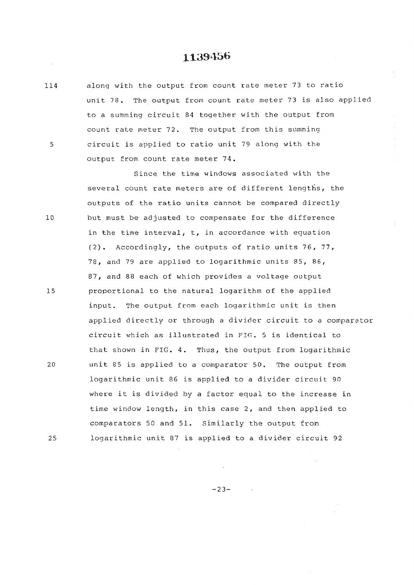114 along with the output from count rate meter 73 to ratio unit 78. The output from count rate meter 73 is also applied **to a summin g circui t 84 togethe r wit h the outpu t from**  count rate meter 72. The output from this summing 5 **circuit is applied to ratio unit 79 along with the output from count rate meter 74.** 

Since the time windows associated with the **severa l count rat e meter s ar e of differen t lengths , the output s of the rati o units canno t be compare d directl y**  10 but must be adjusted to compensate for the difference in the time interval, t, in accordance with equation **(2). Accordingly , the output s of rati o unit s 76 , 77,**  78, and 79 are applied to logarithmic units 85, 86, 87, and 88 each of which provides a voltage output 15 **be proportional to the natural logarithm of the applied** input. The output from each logarithmic unit is then applied directly or through a divider circuit to a comparator **circui t which as illustrate d in PIG . 5 is identical to that shown in FIG . 4. Thus , the outpu t from logarithmi c**  20 unit 85 is applied to a comparator 50. The output from logarithmic unit 86 is applied to a divider circuit 90 where it is divided by a factor equal to the increase in time window length, in this case 2, and then applied to comparators 50 and 51. Similarly the output from **25 logarithmi c uni t 87 is applie d to a divide r circui t** *92* 

**-23 -**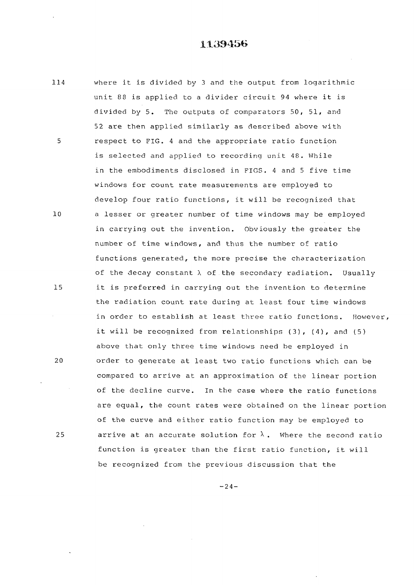#### **.1:13945 6**

114 where it is divided by 3 and the output from logarithmic **unit 88 is applied to a divider circuit 94 where it is divide d by 5. The output s of comparator s 50, 51, and**  52 are then applied similarly as described above with respect to FIG. 4 and the appropriate ratio function 5 is selected and applied to recording unit 48. While in the embodiments disclosed in FIGS. 4 and 5 five time **window s for coun t rate measurement s are employe d to develo p four rati o functions , it wil l be recognize d that**   $10$ **a lesse r or greate r numbe r of time window s ma y be employe d**  in carrying out the invention. Obviously the greater the  $number$  of time windows, and thus the number of ratio functions generated, the more precise the characterization of the decay constant  $\lambda$  of the secondary radiation. Usually  $15$ it is preferred in carrying out the invention to determine **t he radiatio n coun t rat e durin g at least four time window s**  in order to establish at least three ratio functions. However, it will be recognized from relationships (3), (4), and (5) above that only three time windows need be employed in  $20$ **orde r to generat e at least two rati o function s whic h can be**  compared to arrive at an approximation of the linear portion **of the decline curve.** In the case where the ratio functions **a r e equal , the coun t rates wer e obtaine d on the linea r portio n of the curve and either ratio function may be employed to** 25 **arrive at an accurate solution for**  $\lambda$ **. Where the second ratio** function is greater than the first ratio function, it will be recognized from the previous discussion that the

 $-24-$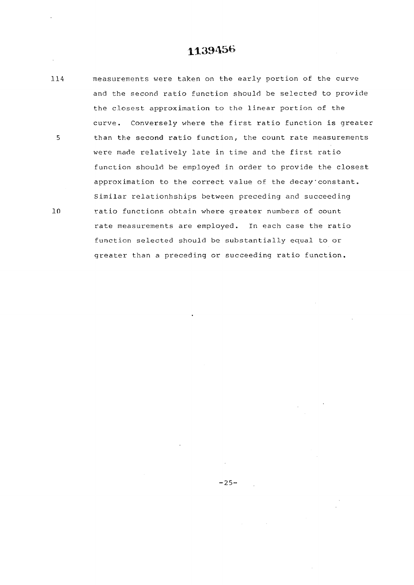## **113945B**

114 measurements were taken on the early portion of the curve and the second ratio function should be selected to provide the closest approximation to the linear portion of the **curve.** Conversely where the first ratio function is greater 5 than the second ratio function, the count rate measurements **wer e mad e relativel y late in time and the first rati o**  function should be employed in order to provide the closest  $approximation$  **to the correct value of the decay'constant. Simila r relationhship s betwee n precedin g and succeedin g**  10 **ratio functions obtain where greater numbers of count** rate measurements are employed. In each case the ratio **functio n selecte d should be substantiall y equal to or**   $greater$  than a preceding or succeeding ratio function.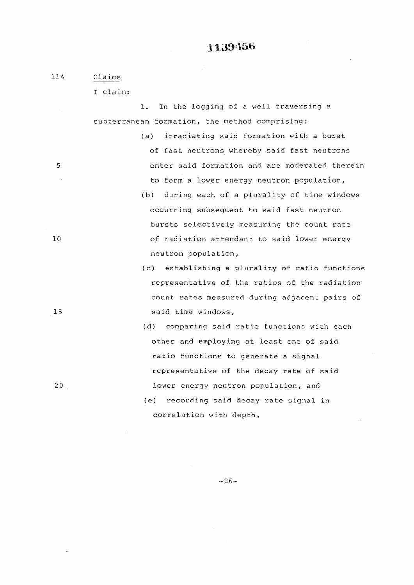$\bar{J}$ 

| 114 | Claims                                         |
|-----|------------------------------------------------|
|     | I claim:                                       |
|     | In the logging of a well traversing a<br>1.    |
|     | subterranean formation, the method comprising: |
|     | (a) irradiating said formation with a burst    |
|     | of fast neutrons whereby said fast neutrons    |
| 5   | enter said formation and are moderated therein |
|     | to form a lower energy neutron population,     |
|     | (b) during each of a plurality of time windows |
|     | occurring subsequent to said fast neutron      |
|     | bursts selectively measuring the count rate    |
| 10  | of radiation attendant to said lower energy    |

**neutro n population ,** 

 $(c)$  establishing a plurality of ratio functions representative of the ratios of the radiation **count rate s measure d durin g adjacen t pair s of 15 said time windows ,** 

**(d) comparin g said rati o function s with each othe r and employin g at leas t one of said rati o function s to generat e a signa l**  representative of the decay rate of said **2 0 . lowe r energ y neutro n population , and (e) recordin g said deca y rat e signa l in**   $c$ correlation with depth.

 $-26 -$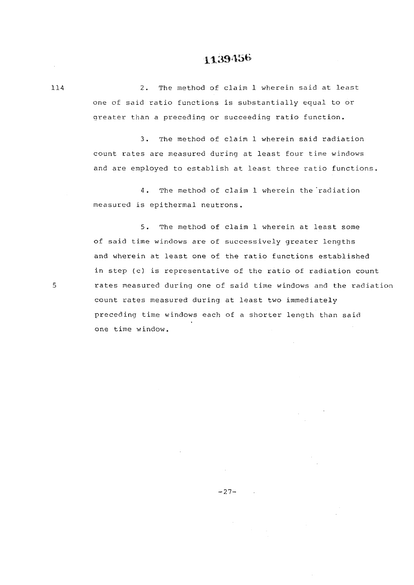114 2. The method of claim 1 wherein said at least **o n e of said rati o function s is substantiall y equa l to or greate r than a precedin g or succeedin g rati o function .** 

> 3. The method of claim 1 wherein said radiation **coun t rate s are measure d durin g at leas t four time window s**  and are employed to establish at least three ratio functions.

4. The method of claim 1 wherein the radiation  $measured$  is epithermal neutrons.

5. The method of claim 1 wherein at least some **of said time window s are of successivel y greate r length s a nd wherei n at leas t on e of the rati o function s establishe d**  in step (c) is representative of the ratio of radiation count 5 **rates measured during one of said time windows and the radiation** count rates measured during at least two immediately preceding time windows each of a shorter length than said one time window.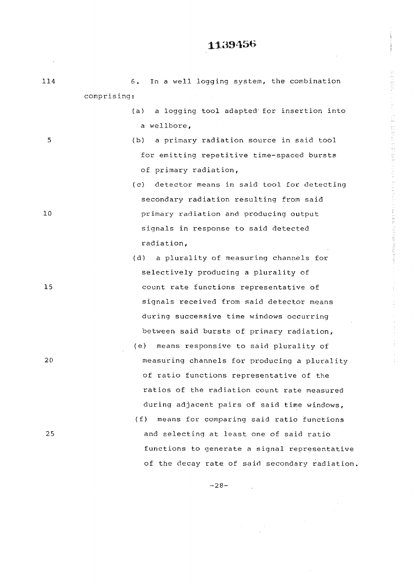$\sim$   $\sim$ 

 $\hat{\mathcal{A}}$ 

 $\frac{1}{\sqrt{2}}\frac{1}{\sqrt{2}}\frac{1}{\sqrt{2}}\left( \frac{1}{2}\frac{1}{2}\right) ^{\frac{1}{2}}\frac{1}{\sqrt{2}}\left( \frac{1}{2}\right) ^{\frac{1}{2}}\frac{1}{\sqrt{2}}\left( \frac{1}{2}\right) ^{\frac{1}{2}}\frac{1}{\sqrt{2}}\left( \frac{1}{2}\right) ^{\frac{1}{2}}\frac{1}{\sqrt{2}}\left( \frac{1}{2}\right) ^{\frac{1}{2}}\frac{1}{\sqrt{2}}\left( \frac{1}{2}\right) ^{\frac{1}{2}}\frac{1}{\sqrt{2}}\left( \$ 

 $\bar{\bar{z}}$ 

**STARFORD** 

 $\frac{1}{2}$ 

 $\frac{1}{2}$ 

J.

| 114 | In a well logging system, the combination<br>6.  |
|-----|--------------------------------------------------|
|     | comprising:                                      |
|     | (a) a logging tool adapted for insertion into    |
|     | a wellbore,                                      |
| 5   | a primary radiation source in said tool<br>(b)   |
|     | for emitting repetitive time-spaced bursts       |
|     | of primary radiation,                            |
|     | detector means in said tool for detecting<br>(c) |
|     | secondary radiation resulting from said          |
| 10  | primary radiation and producing output           |
|     | signals in response to said detected             |
|     | radiation,                                       |
|     | a plurality of measuring channels for<br>(d)     |
|     | selectively producing a plurality of             |
| 15  | count rate functions representative of           |
|     | signals received from said detector means        |
|     | during successive time windows occurring         |
|     | between said bursts of primary radiation,        |
|     | (e)<br>means responsive to said plurality of     |
| 20  | measuring channels for producing a plurality     |
|     | of ratio functions representative of the         |
|     | ratios of the radiation count rate measured      |
|     | during adjacent pairs of said time windows,      |
|     | (f)<br>means for comparing said ratio functions  |
| 25  | and selecting at least one of said ratio         |
|     | functions to generate a signal representative    |
|     | of the decay rate of said secondary radiation.   |

**-28 -**

 $\frac{1}{2} \frac{d^2}{dt^2}$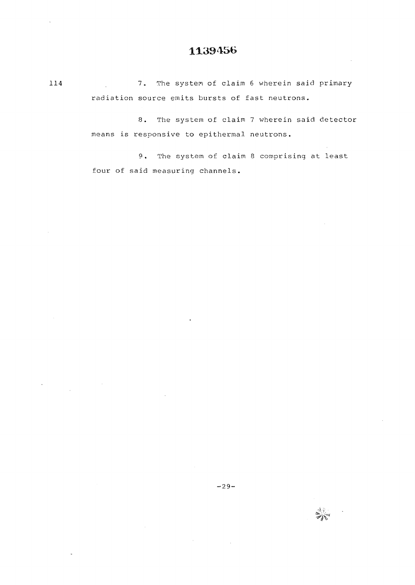114 7. The system of claim 6 wherein said primary **radiatio n sourc e emit s burst s of fast neutrons .** 

> 8. The system of claim 7 wherein said detector **mean s is responsiv e to epitherma l neutrons .**

9. The system of claim 8 comprising at least four of said measuring channels.

**r ï V**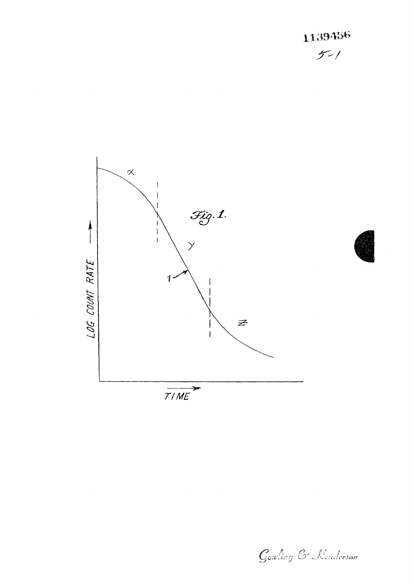1139456  $5 - 1$ 



 $\frac{1}{T/ME}$ 

Gowling & Kenderson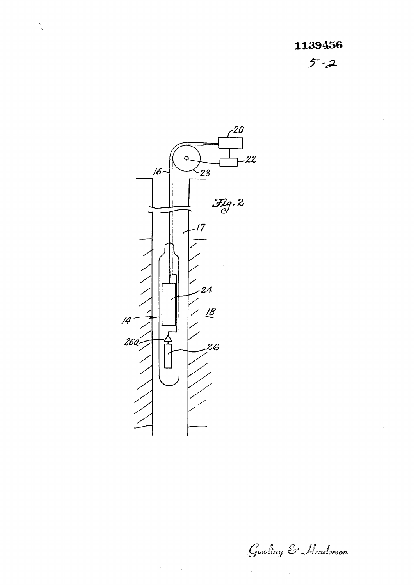**1139456**   $5 - 2$ 



 $\mathcal{A}^{\text{max}}_{\text{max}}$ 

 $\frac{\sum_{i=1}^{n} \alpha_i}{\sum_{i=1}^{n} \alpha_i}$ 

*Go P. Ç^ // ! l.-tit'Sf ? e <sup>r</sup> , ^jowimcj. OJ /<-." ^/sf -O \*•» y-" » end X-» er5 an*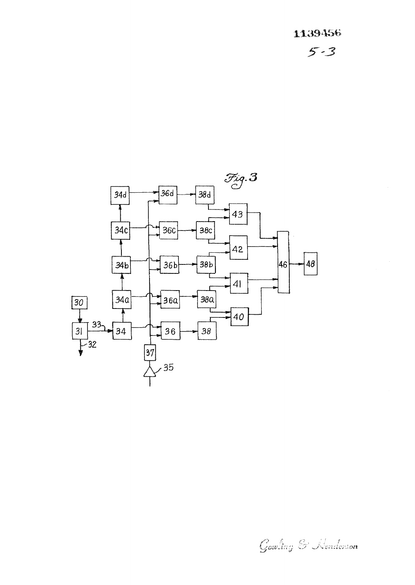1.139456 5 - 3



Gowling & Nenderson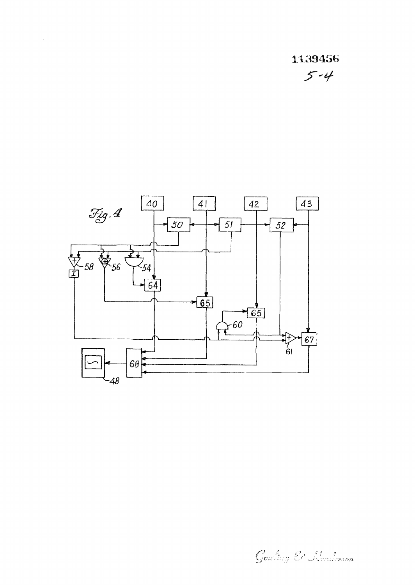

 $\sim$ 

Gowling & Mendorson